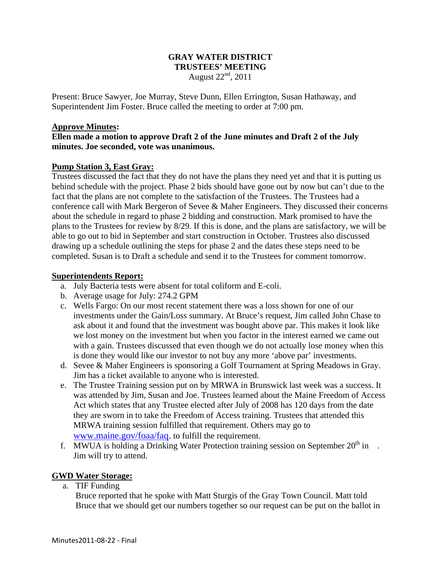## **GRAY WATER DISTRICT TRUSTEES' MEETING**  August  $22<sup>nd</sup>$ , 2011

Present: Bruce Sawyer, Joe Murray, Steve Dunn, Ellen Errington, Susan Hathaway, and Superintendent Jim Foster. Bruce called the meeting to order at 7:00 pm.

### **Approve Minutes:**

# **Ellen made a motion to approve Draft 2 of the June minutes and Draft 2 of the July minutes. Joe seconded, vote was unanimous.**

## **Pump Station 3, East Gray:**

Trustees discussed the fact that they do not have the plans they need yet and that it is putting us behind schedule with the project. Phase 2 bids should have gone out by now but can't due to the fact that the plans are not complete to the satisfaction of the Trustees. The Trustees had a conference call with Mark Bergeron of Sevee & Maher Engineers. They discussed their concerns about the schedule in regard to phase 2 bidding and construction. Mark promised to have the plans to the Trustees for review by 8/29. If this is done, and the plans are satisfactory, we will be able to go out to bid in September and start construction in October. Trustees also discussed drawing up a schedule outlining the steps for phase 2 and the dates these steps need to be completed. Susan is to Draft a schedule and send it to the Trustees for comment tomorrow.

#### **Superintendents Report:**

- a. July Bacteria tests were absent for total coliform and E-coli.
- b. Average usage for July: 274.2 GPM
- c. Wells Fargo: On our most recent statement there was a loss shown for one of our investments under the Gain/Loss summary. At Bruce's request, Jim called John Chase to ask about it and found that the investment was bought above par. This makes it look like we lost money on the investment but when you factor in the interest earned we came out with a gain. Trustees discussed that even though we do not actually lose money when this is done they would like our investor to not buy any more 'above par' investments.
- d. Sevee & Maher Engineers is sponsoring a Golf Tournament at Spring Meadows in Gray. Jim has a ticket available to anyone who is interested.
- e. The Trustee Training session put on by MRWA in Brunswick last week was a success. It was attended by Jim, Susan and Joe. Trustees learned about the Maine Freedom of Access Act which states that any Trustee elected after July of 2008 has 120 days from the date they are sworn in to take the Freedom of Access training. Trustees that attended this MRWA training session fulfilled that requirement. Others may go to www.maine.gov/foaa/faq. to fulfill the requirement.
- f. MWUA is holding a Drinking Water Protection training session on September  $20<sup>th</sup>$  in. Jim will try to attend.

## **GWD Water Storage:**

a. TIF Funding

Bruce reported that he spoke with Matt Sturgis of the Gray Town Council. Matt told Bruce that we should get our numbers together so our request can be put on the ballot in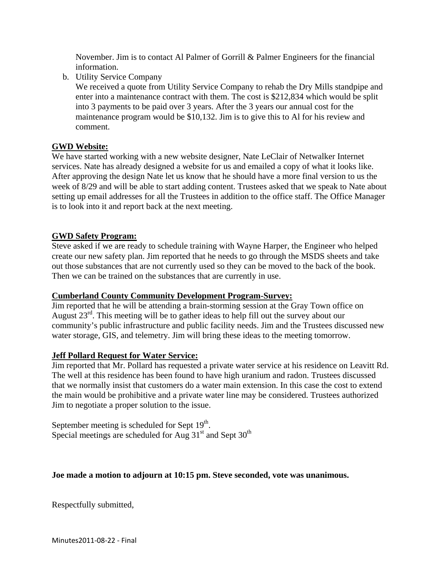November. Jim is to contact Al Palmer of Gorrill & Palmer Engineers for the financial information.

b. Utility Service Company

We received a quote from Utility Service Company to rehab the Dry Mills standpipe and enter into a maintenance contract with them. The cost is \$212,834 which would be split into 3 payments to be paid over 3 years. After the 3 years our annual cost for the maintenance program would be \$10,132. Jim is to give this to Al for his review and comment.

# **GWD Website:**

We have started working with a new website designer, Nate LeClair of Netwalker Internet services. Nate has already designed a website for us and emailed a copy of what it looks like. After approving the design Nate let us know that he should have a more final version to us the week of 8/29 and will be able to start adding content. Trustees asked that we speak to Nate about setting up email addresses for all the Trustees in addition to the office staff. The Office Manager is to look into it and report back at the next meeting.

## **GWD Safety Program:**

Steve asked if we are ready to schedule training with Wayne Harper, the Engineer who helped create our new safety plan. Jim reported that he needs to go through the MSDS sheets and take out those substances that are not currently used so they can be moved to the back of the book. Then we can be trained on the substances that are currently in use.

## **Cumberland County Community Development Program-Survey:**

Jim reported that he will be attending a brain-storming session at the Gray Town office on August  $23<sup>rd</sup>$ . This meeting will be to gather ideas to help fill out the survey about our community's public infrastructure and public facility needs. Jim and the Trustees discussed new water storage, GIS, and telemetry. Jim will bring these ideas to the meeting tomorrow.

## **Jeff Pollard Request for Water Service:**

Jim reported that Mr. Pollard has requested a private water service at his residence on Leavitt Rd. The well at this residence has been found to have high uranium and radon. Trustees discussed that we normally insist that customers do a water main extension. In this case the cost to extend the main would be prohibitive and a private water line may be considered. Trustees authorized Jim to negotiate a proper solution to the issue.

September meeting is scheduled for Sept  $19<sup>th</sup>$ . Special meetings are scheduled for Aug  $31<sup>st</sup>$  and Sept  $30<sup>th</sup>$ 

## **Joe made a motion to adjourn at 10:15 pm. Steve seconded, vote was unanimous.**

Respectfully submitted,